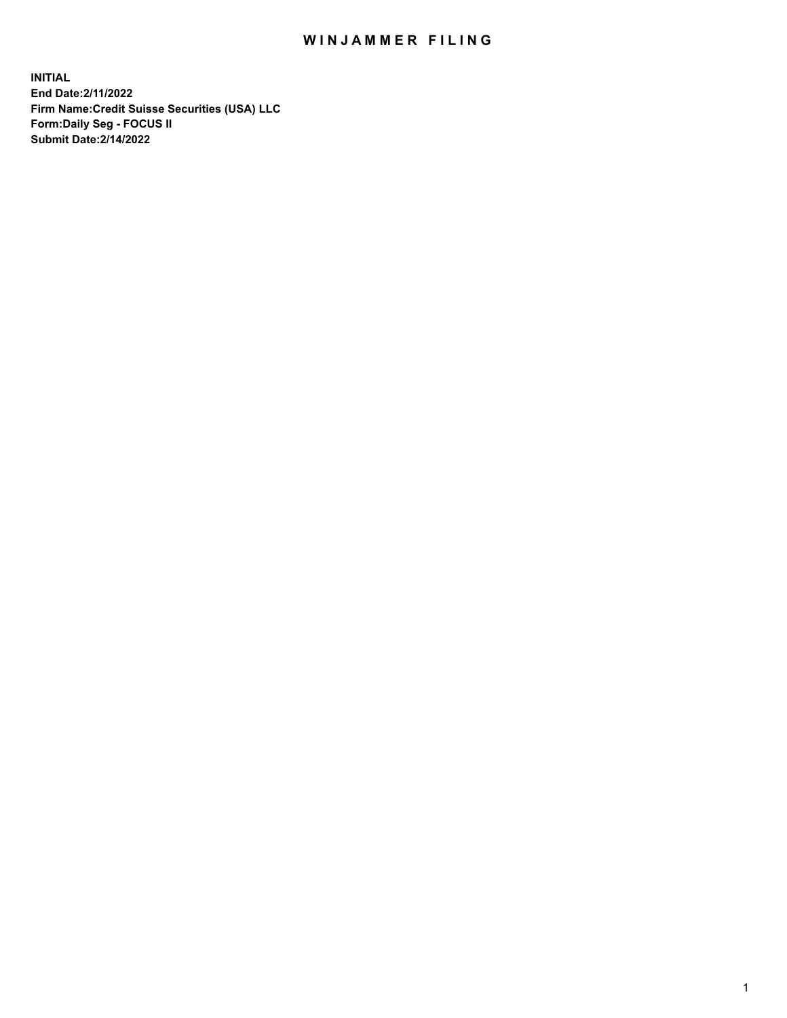## WIN JAMMER FILING

**INITIAL End Date:2/11/2022 Firm Name:Credit Suisse Securities (USA) LLC Form:Daily Seg - FOCUS II Submit Date:2/14/2022**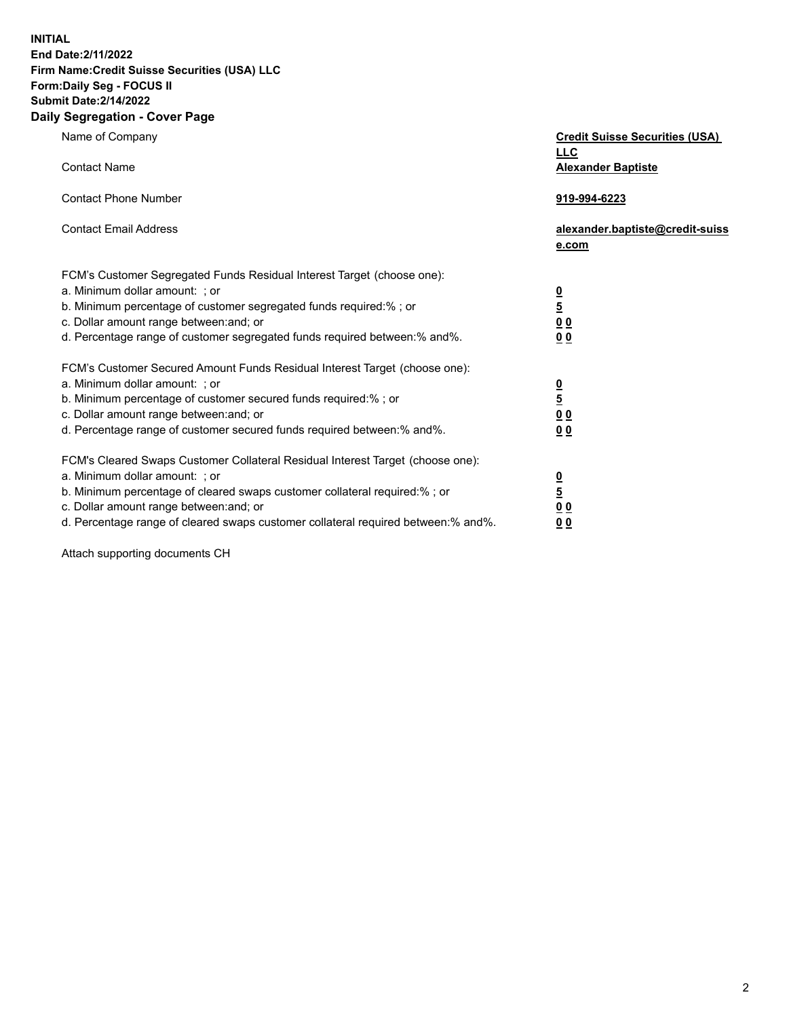**INITIAL End Date:2/11/2022** 

## **Firm Name:Credit Suisse Securities (USA) LLC Form:Daily Seg - FOCUS II Submit Date:2/14/2022**

## **Daily Segregation - Cover Page**

| Name of Company<br><b>Contact Name</b>                                                                                                                                                                                                                                                                                         | <b>Credit Suisse Securities (USA)</b><br><b>LLC</b>                |
|--------------------------------------------------------------------------------------------------------------------------------------------------------------------------------------------------------------------------------------------------------------------------------------------------------------------------------|--------------------------------------------------------------------|
| <b>Contact Phone Number</b>                                                                                                                                                                                                                                                                                                    | <b>Alexander Baptiste</b><br>919-994-6223                          |
| <b>Contact Email Address</b>                                                                                                                                                                                                                                                                                                   | alexander.baptiste@credit-suiss<br>e.com                           |
| FCM's Customer Segregated Funds Residual Interest Target (choose one):<br>a. Minimum dollar amount: ; or<br>b. Minimum percentage of customer segregated funds required:% ; or<br>c. Dollar amount range between: and; or<br>d. Percentage range of customer segregated funds required between:% and%.                         | $\frac{\frac{0}{5}}{\frac{0}{0}}$<br>0 <sub>0</sub>                |
| FCM's Customer Secured Amount Funds Residual Interest Target (choose one):<br>a. Minimum dollar amount: ; or<br>b. Minimum percentage of customer secured funds required:%; or<br>c. Dollar amount range between: and; or<br>d. Percentage range of customer secured funds required between:% and%.                            | $\frac{0}{5}$<br>$\underline{0}$ $\underline{0}$<br>0 <sub>0</sub> |
| FCM's Cleared Swaps Customer Collateral Residual Interest Target (choose one):<br>a. Minimum dollar amount: ; or<br>b. Minimum percentage of cleared swaps customer collateral required:% ; or<br>c. Dollar amount range between: and; or<br>d. Percentage range of cleared swaps customer collateral required between:% and%. | $\frac{0}{5}$<br>$\underline{0}$ $\underline{0}$<br>00             |

Attach supporting documents CH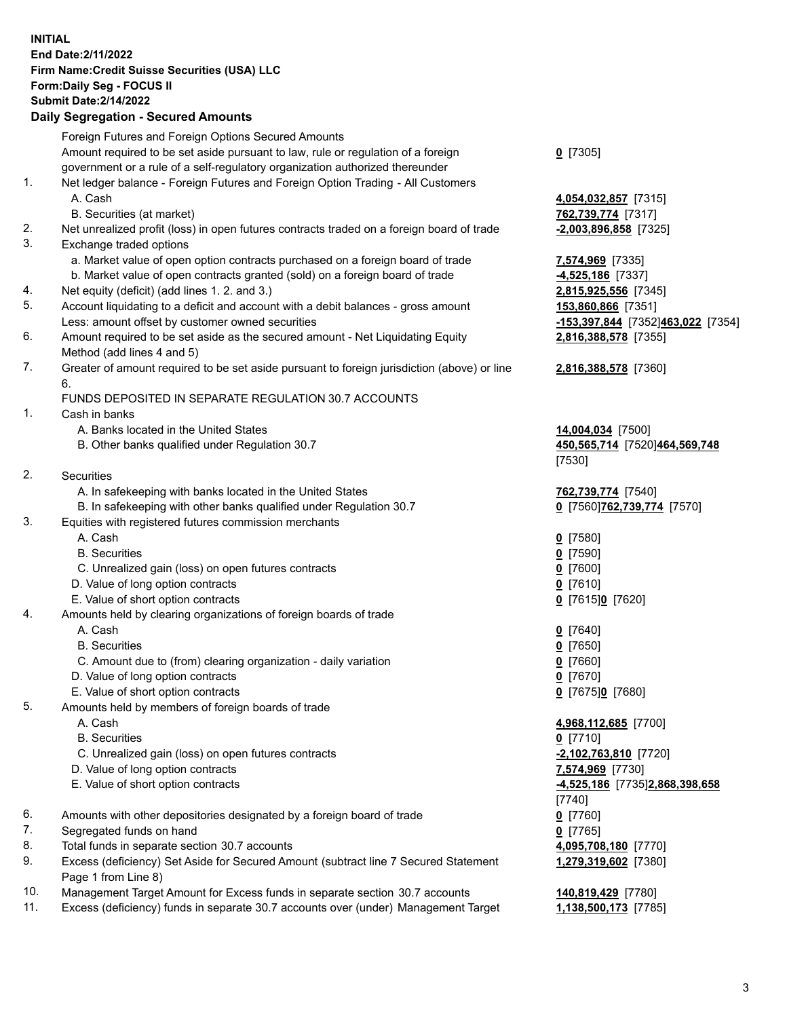**INITIAL End Date:2/11/2022 Firm Name:Credit Suisse Securities (USA) LLC Form:Daily Seg - FOCUS II Submit Date:2/14/2022** 

## **Daily Segregation - Secured Amounts**

|     | Foreign Futures and Foreign Options Secured Amounts                                                        |                                   |
|-----|------------------------------------------------------------------------------------------------------------|-----------------------------------|
|     | Amount required to be set aside pursuant to law, rule or regulation of a foreign                           | $0$ [7305]                        |
|     | government or a rule of a self-regulatory organization authorized thereunder                               |                                   |
| 1.  | Net ledger balance - Foreign Futures and Foreign Option Trading - All Customers                            |                                   |
|     | A. Cash                                                                                                    | 4,054,032,857 [7315]              |
|     | B. Securities (at market)                                                                                  | 762,739,774 [7317]                |
| 2.  | Net unrealized profit (loss) in open futures contracts traded on a foreign board of trade                  | $-2,003,896,858$ [7325]           |
| 3.  | Exchange traded options                                                                                    |                                   |
|     | a. Market value of open option contracts purchased on a foreign board of trade                             | 7,574,969 [7335]                  |
|     | b. Market value of open contracts granted (sold) on a foreign board of trade                               | $-4,525,186$ [7337]               |
| 4.  | Net equity (deficit) (add lines 1. 2. and 3.)                                                              | 2,815,925,556 [7345]              |
| 5.  | Account liquidating to a deficit and account with a debit balances - gross amount                          | 153,860,866 [7351]                |
|     | Less: amount offset by customer owned securities                                                           | -153,397,844 [7352]463,022 [7354] |
| 6.  | Amount required to be set aside as the secured amount - Net Liquidating Equity                             | 2,816,388,578 [7355]              |
| 7.  | Method (add lines 4 and 5)                                                                                 |                                   |
|     | Greater of amount required to be set aside pursuant to foreign jurisdiction (above) or line                | 2,816,388,578 [7360]              |
|     | 6.<br>FUNDS DEPOSITED IN SEPARATE REGULATION 30.7 ACCOUNTS                                                 |                                   |
| 1.  | Cash in banks                                                                                              |                                   |
|     | A. Banks located in the United States                                                                      | 14,004,034 [7500]                 |
|     | B. Other banks qualified under Regulation 30.7                                                             | 450,565,714 [7520]464,569,748     |
|     |                                                                                                            | [7530]                            |
| 2.  | Securities                                                                                                 |                                   |
|     | A. In safekeeping with banks located in the United States                                                  | 762,739,774 [7540]                |
|     | B. In safekeeping with other banks qualified under Regulation 30.7                                         | 0 [7560] 762, 739, 774 [7570]     |
| 3.  | Equities with registered futures commission merchants                                                      |                                   |
|     | A. Cash                                                                                                    | $0$ [7580]                        |
|     | <b>B.</b> Securities                                                                                       | $0$ [7590]                        |
|     | C. Unrealized gain (loss) on open futures contracts                                                        | $0$ [7600]                        |
|     | D. Value of long option contracts                                                                          | $0$ [7610]                        |
|     | E. Value of short option contracts                                                                         | 0 [7615]0 [7620]                  |
| 4.  | Amounts held by clearing organizations of foreign boards of trade                                          |                                   |
|     | A. Cash                                                                                                    | $0$ [7640]                        |
|     | <b>B.</b> Securities                                                                                       | $0$ [7650]                        |
|     | C. Amount due to (from) clearing organization - daily variation                                            | $0$ [7660]                        |
|     | D. Value of long option contracts                                                                          | $0$ [7670]                        |
|     | E. Value of short option contracts                                                                         | 0 [7675]0 [7680]                  |
| 5.  | Amounts held by members of foreign boards of trade                                                         |                                   |
|     | A. Cash                                                                                                    | 4,968,112,685 [7700]              |
|     | <b>B.</b> Securities                                                                                       | $0$ [7710]                        |
|     | C. Unrealized gain (loss) on open futures contracts                                                        | $-2,102,763,810$ [7720]           |
|     | D. Value of long option contracts                                                                          | 7,574,969 [7730]                  |
|     | E. Value of short option contracts                                                                         | -4,525,186 [7735]2,868,398,658    |
|     |                                                                                                            | [7740]                            |
| 6.  | Amounts with other depositories designated by a foreign board of trade                                     | $0$ [7760]                        |
| 7.  | Segregated funds on hand                                                                                   | $0$ [7765]                        |
| 8.  | Total funds in separate section 30.7 accounts                                                              | 4,095,708,180 [7770]              |
| 9.  | Excess (deficiency) Set Aside for Secured Amount (subtract line 7 Secured Statement<br>Page 1 from Line 8) | 1,279,319,602 [7380]              |
| 10. | Management Target Amount for Excess funds in separate section 30.7 accounts                                | 140,819,429 [7780]                |
|     |                                                                                                            |                                   |

11. Excess (deficiency) funds in separate 30.7 accounts over (under) Management Target **1,138,500,173** [7785]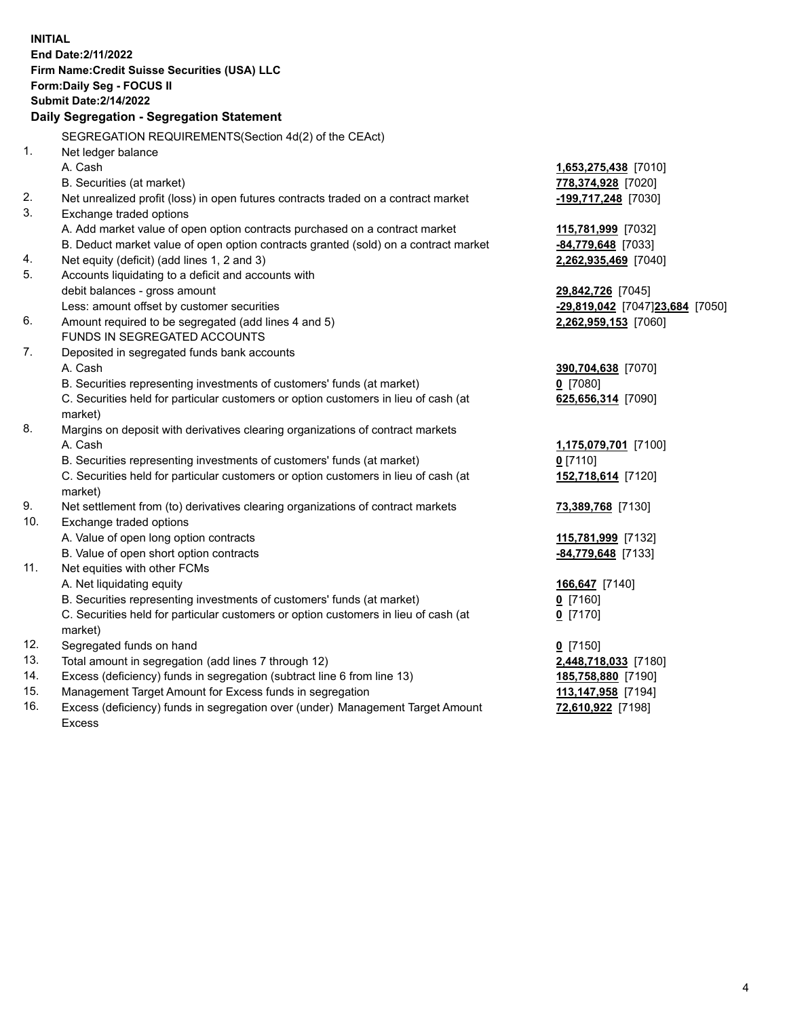15. Management Target Amount for Excess funds in segregation **113,147,958** [7194] **INITIAL End Date:2/11/2022 Firm Name:Credit Suisse Securities (USA) LLC Form:Daily Seg - FOCUS II Submit Date:2/14/2022 Daily Segregation - Segregation Statement**  SEGREGATION REQUIREMENTS(Section 4d(2) of the CEAct) 1. Net ledger balance A. Cash **1,653,275,438** [7010] B. Securities (at market) **778,374,928** [7020] 2. Net unrealized profit (loss) in open futures contracts traded on a contract market **-199,717,248** [7030] 3. Exchange traded options A. Add market value of open option contracts purchased on a contract market **115,781,999** [7032] B. Deduct market value of open option contracts granted (sold) on a contract market **-84,779,648** [7033] 4. Net equity (deficit) (add lines 1, 2 and 3) **2,262,935,469** [7040] 5. Accounts liquidating to a deficit and accounts with debit balances - gross amount **29,842,726** [7045] Less: amount offset by customer securities **-29,819,042** [7047] **23,684** [7050] 6. Amount required to be segregated (add lines 4 and 5) **2,262,959,153** [7060] FUNDS IN SEGREGATED ACCOUNTS 7. Deposited in segregated funds bank accounts A. Cash **390,704,638** [7070] B. Securities representing investments of customers' funds (at market) **0** [7080] C. Securities held for particular customers or option customers in lieu of cash (at **625,656,314** [7090] market) 8. Margins on deposit with derivatives clearing organizations of contract markets A. Cash **1,175,079,701** [7100] B. Securities representing investments of customers' funds (at market) **0** [7110] C. Securities held for particular customers or option customers in lieu of cash (at **152,718,614** [7120] market) 9. Net settlement from (to) derivatives clearing organizations of contract markets **73,389,768** [7130] 10. Exchange traded options A. Value of open long option contracts **115,781,999** [7132] B. Value of open short option contracts **-84,779,648** [7133] 11. Net equities with other FCMs A. Net liquidating equity **166,647** [7140] B. Securities representing investments of customers' funds (at market) **0** [7160] C. Securities held for particular customers or option customers in lieu of cash (at **0** [7170] market) 12. Segregated funds on hand **0** [7150] 13. Total amount in segregation (add lines 7 through 12) **2,448,718,033** [7180] 14. Excess (deficiency) funds in segregation (subtract line 6 from line 13) **185,758,880** [7190]

 16. Excess (deficiency) funds in segregation over (under) Management Target Amount **72,610,922** [7198] Excess